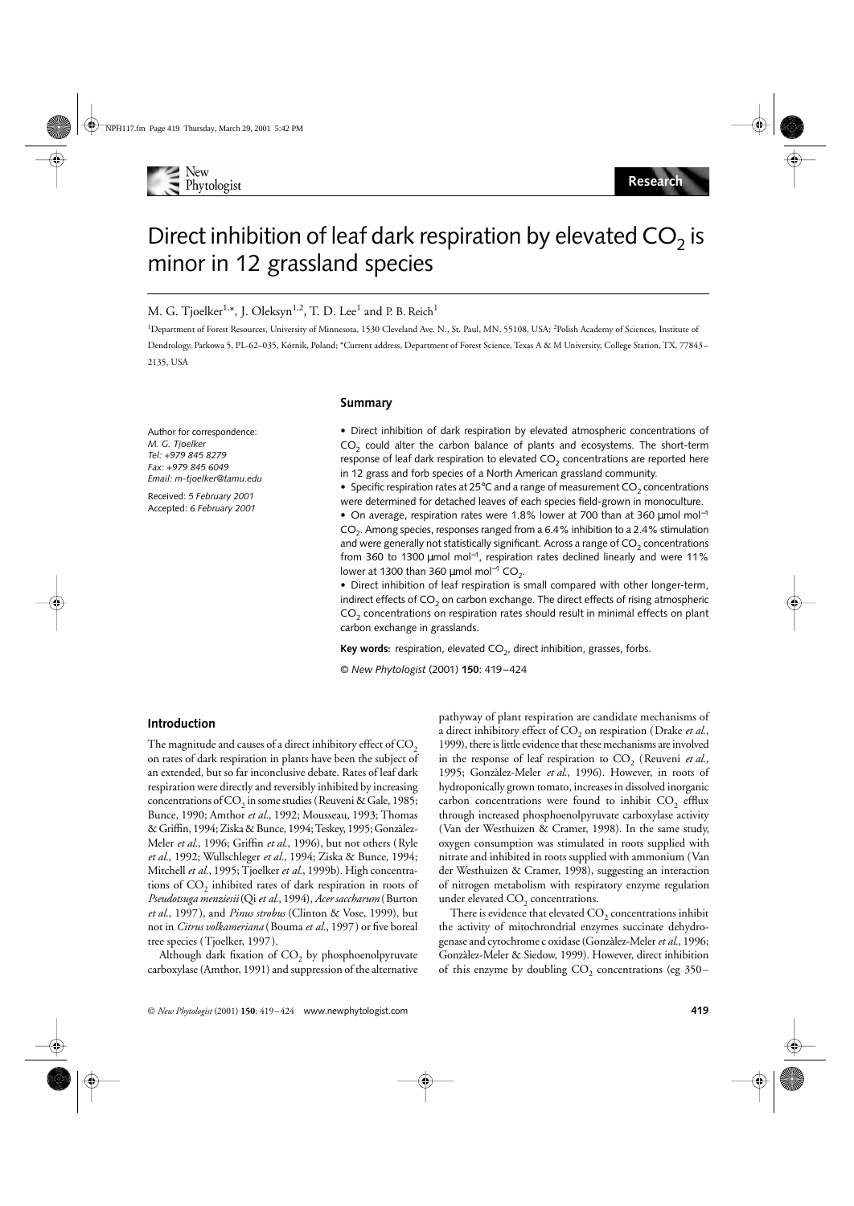

# Direct inhibition of leaf dark respiration by elevated  $CO<sub>2</sub>$  is minor in 12 grassland species

## M. G. Tjoelker $^{1,*}$ , J. Oleksyn $^{1,2}$ , T. D. Lee $^1$  and P. B. Reich $^1$

<sup>1</sup>Department of Forest Resources, University of Minnesota, 1530 Cleveland Ave. N., St. Paul, MN, 55108, USA; <sup>2</sup>Polish Academy of Sciences, Institute of Dendrology, Parkowa 5, PL-62–035, Kórnik, Poland; \*Current address, Department of Forest Science, Texas A & M University, College Station, TX, 77843– 2135, USA

### **Summary**

Author for correspondence: *M. G. Tjoelker Tel: +979 845 8279 Fax: +979 845 6049 Email: m-tjoelker@tamu.edu*

Received: *5 February 2001* Accepted: *6 February 2001*

## • Direct inhibition of dark respiration by elevated atmospheric concentrations of  $CO<sub>2</sub>$  could alter the carbon balance of plants and ecosystems. The short-term response of leaf dark respiration to elevated  $CO<sub>2</sub>$  concentrations are reported here in 12 grass and forb species of a North American grassland community.

• Specific respiration rates at 25°C and a range of measurement  $CO<sub>2</sub>$  concentrations were determined for detached leaves of each species field-grown in monoculture.

• On average, respiration rates were 1.8% lower at 700 than at 360 µmol mol<sup>-1</sup>  $CO<sub>2</sub>$ . Among species, responses ranged from a 6.4% inhibition to a 2.4% stimulation and were generally not statistically significant. Across a range of  $CO<sub>2</sub>$  concentrations from 360 to 1300 µmol mol<sup>−</sup>1, respiration rates declined linearly and were 11% lower at 1300 than 360 µmol mol<sup>-1</sup> CO<sub>2</sub>.

• Direct inhibition of leaf respiration is small compared with other longer-term, indirect effects of  $CO<sub>2</sub>$  on carbon exchange. The direct effects of rising atmospheric  $CO<sub>2</sub>$  concentrations on respiration rates should result in minimal effects on plant carbon exchange in grasslands.

**Key words:** respiration, elevated CO<sub>2</sub>, direct inhibition, grasses, forbs.

© *New Phytologist* (2001) **150**: 419–424

## **Introduction**

The magnitude and causes of a direct inhibitory effect of  $CO<sub>2</sub>$ on rates of dark respiration in plants have been the subject of an extended, but so far inconclusive debate. Rates of leaf dark respiration were directly and reversibly inhibited by increasing concentrations of  $CO_2$  in some studies (Reuveni & Gale, 1985; Bunce, 1990; Amthor *et al.*, 1992; Mousseau, 1993; Thomas & Griffin, 1994; Ziska & Bunce, 1994; Teskey, 1995; Gonzàlez-Meler *et al.*, 1996; Griffin *et al.*, 1996), but not others (Ryle *et al.*, 1992; Wullschleger *et al.*, 1994; Ziska & Bunce, 1994; Mitchell *et al.*, 1995; Tjoelker *et al.*, 1999b). High concentrations of  $CO<sub>2</sub>$  inhibited rates of dark respiration in roots of *Pseudotsuga menziesii* (Qi *et al.*, 1994), *Acer saccharum* (Burton *et al.*, 1997), and *Pinus strobus* (Clinton & Vose, 1999), but not in *Citrus volkameriana* (Bouma *et al.*, 1997) or five boreal tree species (Tjoelker, 1997).

Although dark fixation of  $CO<sub>2</sub>$  by phosphoenolpyruvate carboxylase (Amthor, 1991) and suppression of the alternative

pathyway of plant respiration are candidate mechanisms of a direct inhibitory effect of CO<sub>2</sub> on respiration (Drake *et al.*, 1999), there is little evidence that these mechanisms are involved in the response of leaf respiration to  $CO<sub>2</sub>$  (Reuveni *et al.*, 1995; Gonzàlez-Meler *et al.*, 1996). However, in roots of hydroponically grown tomato, increases in dissolved inorganic carbon concentrations were found to inhibit  $CO_2$  efflux through increased phosphoenolpyruvate carboxylase activity (Van der Westhuizen & Cramer, 1998). In the same study, oxygen consumption was stimulated in roots supplied with nitrate and inhibited in roots supplied with ammonium (Van der Westhuizen & Cramer, 1998), suggesting an interaction of nitrogen metabolism with respiratory enzyme regulation under elevated  $CO<sub>2</sub>$  concentrations.

There is evidence that elevated  $CO<sub>2</sub>$  concentrations inhibit the activity of mitochrondrial enzymes succinate dehydrogenase and cytochrome c oxidase (Gonzàlez-Meler *et al.*, 1996; Gonzàlez-Meler & Siedow, 1999). However, direct inhibition of this enzyme by doubling  $CO_2$  concentrations (eg 350–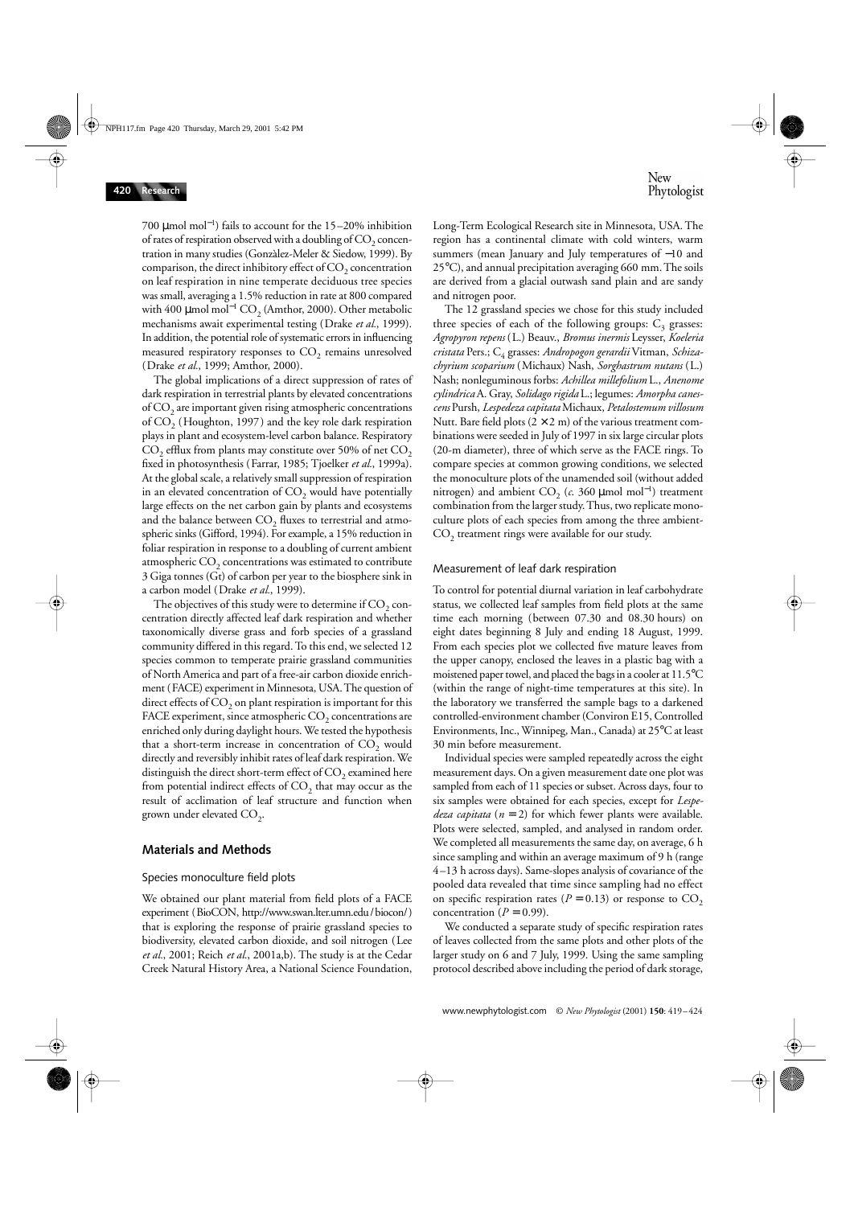700 µmol mol<sup>−</sup><sup>1</sup> ) fails to account for the 15–20% inhibition of rates of respiration observed with a doubling of  $CO<sub>2</sub>$  concentration in many studies (Gonzàlez-Meler & Siedow, 1999). By comparison, the direct inhibitory effect of  $CO<sub>2</sub>$  concentration on leaf respiration in nine temperate deciduous tree species was small, averaging a 1.5% reduction in rate at 800 compared with 400  $\mu$ mol mol<sup>−1</sup> CO<sub>2</sub> (Amthor, 2000). Other metabolic mechanisms await experimental testing (Drake *et al.*, 1999). In addition, the potential role of systematic errors in influencing measured respiratory responses to  $CO<sub>2</sub>$  remains unresolved (Drake *et al.*, 1999; Amthor, 2000).

The global implications of a direct suppression of rates of dark respiration in terrestrial plants by elevated concentrations of  $CO<sub>2</sub>$  are important given rising atmospheric concentrations of  $CO<sub>2</sub>$  (Houghton, 1997) and the key role dark respiration plays in plant and ecosystem-level carbon balance. Respiratory  $CO<sub>2</sub>$  efflux from plants may constitute over 50% of net  $CO<sub>2</sub>$ fixed in photosynthesis (Farrar, 1985; Tjoelker *et al.*, 1999a). At the global scale, a relatively small suppression of respiration in an elevated concentration of  $CO<sub>2</sub>$  would have potentially large effects on the net carbon gain by plants and ecosystems and the balance between  $CO<sub>2</sub>$  fluxes to terrestrial and atmospheric sinks (Gifford, 1994). For example, a 15% reduction in foliar respiration in response to a doubling of current ambient atmospheric  $CO<sub>2</sub>$  concentrations was estimated to contribute 3 Giga tonnes (Gt) of carbon per year to the biosphere sink in a carbon model (Drake *et al.*, 1999).

The objectives of this study were to determine if  $CO<sub>2</sub>$  concentration directly affected leaf dark respiration and whether taxonomically diverse grass and forb species of a grassland community differed in this regard. To this end, we selected 12 species common to temperate prairie grassland communities of North America and part of a free-air carbon dioxide enrichment (FACE) experiment in Minnesota, USA. The question of direct effects of  $CO<sub>2</sub>$  on plant respiration is important for this FACE experiment, since atmospheric  $CO<sub>2</sub>$  concentrations are enriched only during daylight hours. We tested the hypothesis that a short-term increase in concentration of  $CO<sub>2</sub>$  would directly and reversibly inhibit rates of leaf dark respiration. We distinguish the direct short-term effect of  $CO<sub>2</sub>$  examined here from potential indirect effects of  $CO<sub>2</sub>$  that may occur as the result of acclimation of leaf structure and function when grown under elevated  $CO<sub>2</sub>$ .

## **Materials and Methods**

#### Species monoculture field plots

We obtained our plant material from field plots of a FACE experiment (BioCON, http://www.swan.lter.umn.edu/biocon/) that is exploring the response of prairie grassland species to biodiversity, elevated carbon dioxide, and soil nitrogen (Lee *et al.*, 2001; Reich *et al.*, 2001a,b). The study is at the Cedar Creek Natural History Area, a National Science Foundation, Long-Term Ecological Research site in Minnesota, USA. The region has a continental climate with cold winters, warm summers (mean January and July temperatures of −10 and 25°C), and annual precipitation averaging 660 mm. The soils are derived from a glacial outwash sand plain and are sandy and nitrogen poor.

The 12 grassland species we chose for this study included three species of each of the following groups:  $C_3$  grasses: *Agropyron repens* (L.) Beauv., *Bromus inermis* Leysser, *Koeleria cristata* Pers.; C4 grasses: *Andropogon gerardii* Vitman, *Schizachyrium scoparium* (Michaux) Nash, *Sorghastrum nutans* (L.) Nash; nonleguminous forbs: *Achillea millefolium* L., *Anenome cylindrica* A. Gray, *Solidago rigida* L.; legumes: *Amorpha canescens* Pursh, *Lespedeza capitata* Michaux, *Petalostemum villosum* Nutt. Bare field plots  $(2 \times 2 \text{ m})$  of the various treatment combinations were seeded in July of 1997 in six large circular plots (20-m diameter), three of which serve as the FACE rings. To compare species at common growing conditions, we selected the monoculture plots of the unamended soil (without added nitrogen) and ambient  $\text{CO}_2$  (*c*. 360 µmol mol<sup>-1</sup>) treatment combination from the larger study. Thus, two replicate monoculture plots of each species from among the three ambient- $CO<sub>2</sub>$  treatment rings were available for our study.

#### Measurement of leaf dark respiration

To control for potential diurnal variation in leaf carbohydrate status, we collected leaf samples from field plots at the same time each morning (between 07.30 and 08.30 hours) on eight dates beginning 8 July and ending 18 August, 1999. From each species plot we collected five mature leaves from the upper canopy, enclosed the leaves in a plastic bag with a moistened paper towel, and placed the bags in a cooler at 11.5°C (within the range of night-time temperatures at this site). In the laboratory we transferred the sample bags to a darkened controlled-environment chamber (Conviron E15, Controlled Environments, Inc., Winnipeg, Man., Canada) at 25°C at least 30 min before measurement.

Individual species were sampled repeatedly across the eight measurement days. On a given measurement date one plot was sampled from each of 11 species or subset. Across days, four to six samples were obtained for each species, except for *Lespedeza capitata* (*n* = 2) for which fewer plants were available. Plots were selected, sampled, and analysed in random order. We completed all measurements the same day, on average, 6 h since sampling and within an average maximum of 9 h (range 4–13 h across days). Same-slopes analysis of covariance of the pooled data revealed that time since sampling had no effect on specific respiration rates ( $P = 0.13$ ) or response to  $CO<sub>2</sub>$ concentration  $(P = 0.99)$ .

We conducted a separate study of specific respiration rates of leaves collected from the same plots and other plots of the larger study on 6 and 7 July, 1999. Using the same sampling protocol described above including the period of dark storage,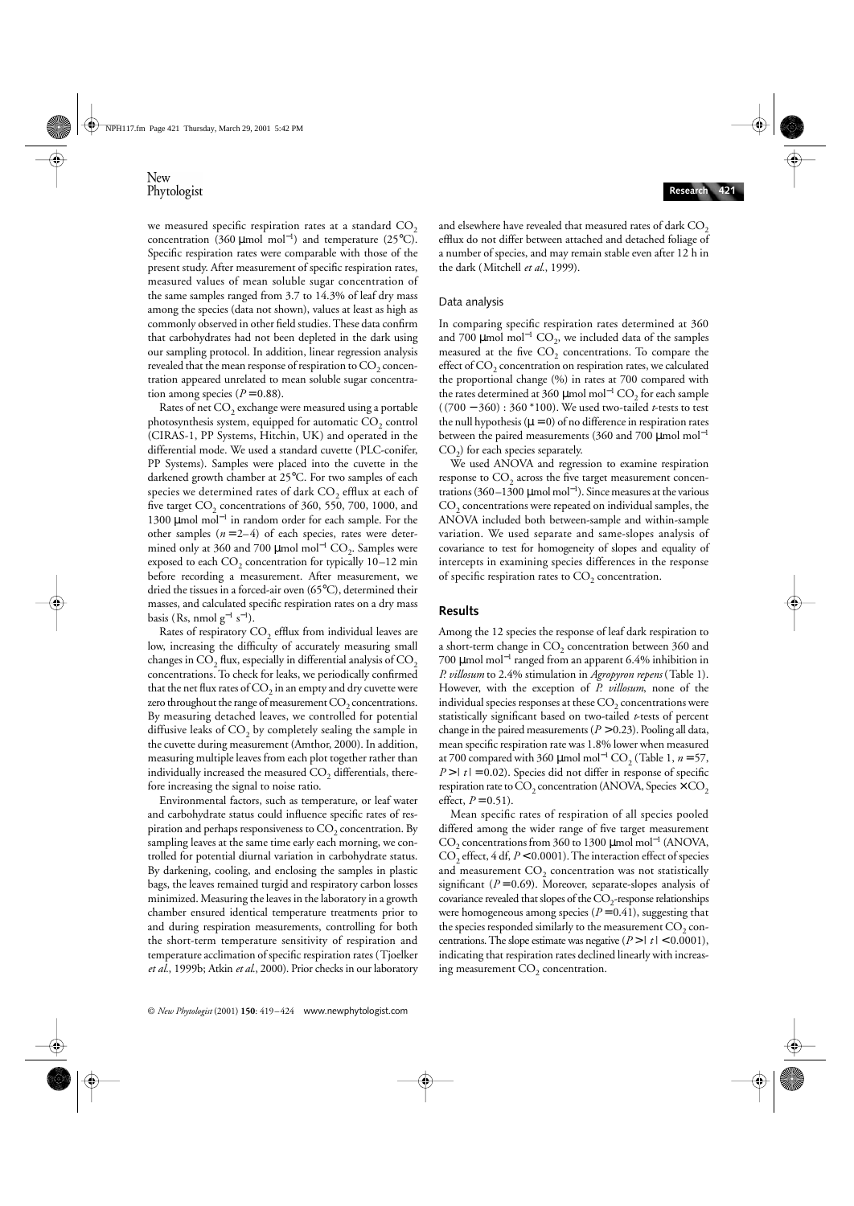we measured specific respiration rates at a standard  $CO<sub>2</sub>$ concentration (360 µmol mol<sup>−</sup><sup>1</sup> ) and temperature (25°C). Specific respiration rates were comparable with those of the present study. After measurement of specific respiration rates, measured values of mean soluble sugar concentration of the same samples ranged from 3.7 to 14.3% of leaf dry mass among the species (data not shown), values at least as high as commonly observed in other field studies. These data confirm that carbohydrates had not been depleted in the dark using our sampling protocol. In addition, linear regression analysis revealed that the mean response of respiration to  $CO<sub>2</sub>$  concentration appeared unrelated to mean soluble sugar concentration among species  $(P = 0.88)$ .

Rates of net  $CO<sub>2</sub>$  exchange were measured using a portable photosynthesis system, equipped for automatic  $CO<sub>2</sub>$  control (CIRAS-1, PP Systems, Hitchin, UK) and operated in the differential mode. We used a standard cuvette (PLC-conifer, PP Systems). Samples were placed into the cuvette in the darkened growth chamber at 25°C. For two samples of each species we determined rates of dark  $CO<sub>2</sub>$  efflux at each of five target  $CO<sub>2</sub>$  concentrations of 360, 550, 700, 1000, and 1300 μmol mol<sup>-1</sup> in random order for each sample. For the other samples  $(n=2-4)$  of each species, rates were determined only at 360 and 700  $\mu$ mol mol<sup>-1</sup> CO<sub>2</sub>. Samples were exposed to each  $CO<sub>2</sub>$  concentration for typically 10–12 min before recording a measurement. After measurement, we dried the tissues in a forced-air oven (65°C), determined their masses, and calculated specific respiration rates on a dry mass basis (Rs, nmol  $g^{-1} s^{-1}$ ).

Rates of respiratory  $CO<sub>2</sub>$  efflux from individual leaves are low, increasing the difficulty of accurately measuring small changes in  $CO<sub>2</sub>$  flux, especially in differential analysis of  $CO<sub>2</sub>$ concentrations. To check for leaks, we periodically confirmed that the net flux rates of  $CO<sub>2</sub>$  in an empty and dry cuvette were zero throughout the range of measurement  $CO<sub>2</sub>$  concentrations. By measuring detached leaves, we controlled for potential diffusive leaks of  $CO<sub>2</sub>$  by completely sealing the sample in the cuvette during measurement (Amthor, 2000). In addition, measuring multiple leaves from each plot together rather than individually increased the measured  $CO<sub>2</sub>$  differentials, therefore increasing the signal to noise ratio.

Environmental factors, such as temperature, or leaf water and carbohydrate status could influence specific rates of respiration and perhaps responsiveness to  $CO<sub>2</sub>$  concentration. By sampling leaves at the same time early each morning, we controlled for potential diurnal variation in carbohydrate status. By darkening, cooling, and enclosing the samples in plastic bags, the leaves remained turgid and respiratory carbon losses minimized. Measuring the leaves in the laboratory in a growth chamber ensured identical temperature treatments prior to and during respiration measurements, controlling for both the short-term temperature sensitivity of respiration and temperature acclimation of specific respiration rates (Tjoelker *et al.*, 1999b; Atkin *et al.*, 2000). Prior checks in our laboratory

and elsewhere have revealed that measured rates of dark  $CO<sub>2</sub>$ efflux do not differ between attached and detached foliage of a number of species, and may remain stable even after 12 h in the dark (Mitchell *et al.*, 1999).

#### Data analysis

In comparing specific respiration rates determined at 360 and 700  $\mu$ mol mol<sup>−1</sup> CO<sub>2</sub>, we included data of the samples measured at the five  $CO<sub>2</sub>$  concentrations. To compare the effect of  $CO<sub>2</sub>$  concentration on respiration rates, we calculated the proportional change (%) in rates at 700 compared with the rates determined at 360 µmol mol $^{-1}$  CO<sub>2</sub> for each sample ( (700 − 360) : 360 \*100). We used two-tailed *t*-tests to test the null hypothesis ( $\mu$  = 0) of no difference in respiration rates between the paired measurements (360 and 700  $\mu$ mol mol<sup>-1</sup>  $CO<sub>2</sub>$ ) for each species separately.

We used ANOVA and regression to examine respiration response to  $CO<sub>2</sub>$  across the five target measurement concentrations (360–1300 µmol mol<sup>−</sup><sup>1</sup> ). Since measures at the various  $CO<sub>2</sub>$  concentrations were repeated on individual samples, the ANOVA included both between-sample and within-sample variation. We used separate and same-slopes analysis of covariance to test for homogeneity of slopes and equality of intercepts in examining species differences in the response of specific respiration rates to  $CO<sub>2</sub>$  concentration.

## **Results**

Among the 12 species the response of leaf dark respiration to a short-term change in  $CO<sub>2</sub>$  concentration between 360 and 700 µmol mol<sup>−</sup><sup>1</sup> ranged from an apparent 6.4% inhibition in *P. villosum* to 2.4% stimulation in *Agropyron repens* (Table 1). However, with the exception of *P. villosum*, none of the individual species responses at these  $CO<sub>2</sub>$  concentrations were statistically significant based on two-tailed *t*-tests of percent change in the paired measurements  $(P > 0.23)$ . Pooling all data, mean specific respiration rate was 1.8% lower when measured at 700 compared with 360 µmol mol<sup>-1</sup> CO<sub>2</sub> (Table 1,  $n = 57$ ,  $P > |t| = 0.02$ . Species did not differ in response of specific respiration rate to  $CO_2$  concentration (ANOVA, Species  $\times$  CO<sub>2</sub> effect,  $P = 0.51$ ).

Mean specific rates of respiration of all species pooled differed among the wider range of five target measurement CO<sub>2</sub> concentrations from 360 to 1300 µmol mol<sup>-1</sup> (ANOVA,  $CO<sub>2</sub>$  effect, 4 df,  $P < 0.0001$ ). The interaction effect of species and measurement  $CO<sub>2</sub>$  concentration was not statistically significant  $(P = 0.69)$ . Moreover, separate-slopes analysis of covariance revealed that slopes of the  $CO_2$ -response relationships were homogeneous among species  $(P = 0.41)$ , suggesting that the species responded similarly to the measurement  $CO<sub>2</sub>$  concentrations. The slope estimate was negative (*P* > | *t* | < 0.0001), indicating that respiration rates declined linearly with increasing measurement  $CO<sub>2</sub>$  concentration.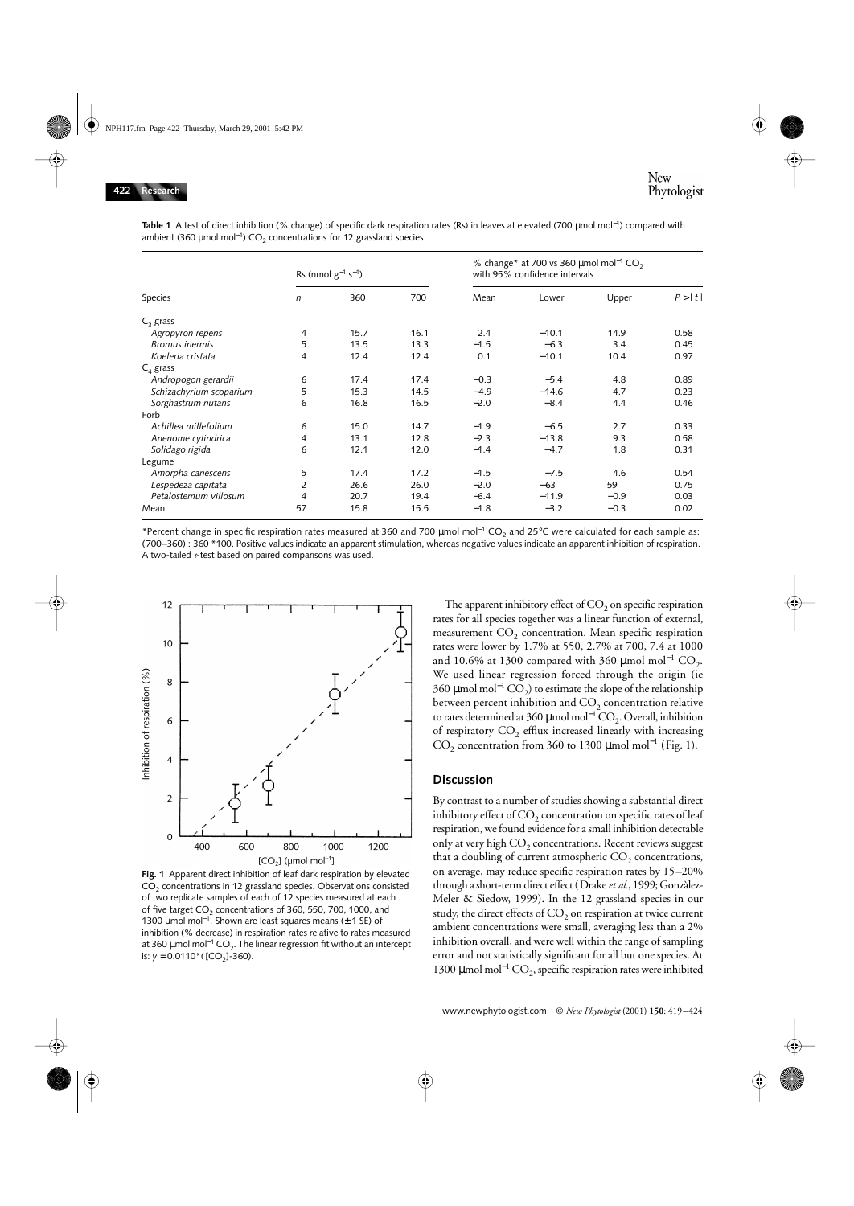| Species                 | Rs (nmol $g^{-1}$ s <sup>-1</sup> ) |      |      | % change* at 700 vs 360 $\mu$ mol mol <sup>-1</sup> CO <sub>2</sub><br>with 95% confidence intervals |         |        |        |
|-------------------------|-------------------------------------|------|------|------------------------------------------------------------------------------------------------------|---------|--------|--------|
|                         | n                                   | 360  | 700  | Mean                                                                                                 | Lower   | Upper  | P >  t |
| $C_3$ grass             |                                     |      |      |                                                                                                      |         |        |        |
| Agropyron repens        | 4                                   | 15.7 | 16.1 | 2.4                                                                                                  | $-10.1$ | 14.9   | 0.58   |
| <b>Bromus</b> inermis   | 5                                   | 13.5 | 13.3 | $-1.5$                                                                                               | $-6.3$  | 3.4    | 0.45   |
| Koeleria cristata       | 4                                   | 12.4 | 12.4 | 0.1                                                                                                  | $-10.1$ | 10.4   | 0.97   |
| $C_4$ grass             |                                     |      |      |                                                                                                      |         |        |        |
| Andropogon gerardii     | 6                                   | 17.4 | 17.4 | $-0.3$                                                                                               | $-5.4$  | 4.8    | 0.89   |
| Schizachyrium scoparium | 5                                   | 15.3 | 14.5 | $-4.9$                                                                                               | $-14.6$ | 4.7    | 0.23   |
| Sorghastrum nutans      | 6                                   | 16.8 | 16.5 | $-2.0$                                                                                               | $-8.4$  | 4.4    | 0.46   |
| Forb                    |                                     |      |      |                                                                                                      |         |        |        |
| Achillea millefolium    | 6                                   | 15.0 | 14.7 | $-1.9$                                                                                               | $-6.5$  | 2.7    | 0.33   |
| Anenome cylindrica      | 4                                   | 13.1 | 12.8 | $-2.3$                                                                                               | $-13.8$ | 9.3    | 0.58   |
| Solidago rigida         | 6                                   | 12.1 | 12.0 | $-1.4$                                                                                               | $-4.7$  | 1.8    | 0.31   |
| Legume                  |                                     |      |      |                                                                                                      |         |        |        |
| Amorpha canescens       | 5                                   | 17.4 | 17.2 | $-1.5$                                                                                               | $-7.5$  | 4.6    | 0.54   |
| Lespedeza capitata      | 2                                   | 26.6 | 26.0 | $-2.0$                                                                                               | $-63$   | 59     | 0.75   |
| Petalostemum villosum   | 4                                   | 20.7 | 19.4 | $-6.4$                                                                                               | $-11.9$ | $-0.9$ | 0.03   |
| Mean                    | 57                                  | 15.8 | 15.5 | $-1.8$                                                                                               | $-3.2$  | $-0.3$ | 0.02   |

**Table 1** A test of direct inhibition (% change) of specific dark respiration rates (Rs) in leaves at elevated (700 µmol mol<sup>−</sup>1) compared with ambient (360 μmol mol<sup>-1</sup>) CO<sub>2</sub> concentrations for 12 grassland species

\*Percent change in specific respiration rates measured at 360 and 700 µmol mol<sup>−</sup>1 CO2 and 25°C were calculated for each sample as: (700–360) : 360 \*100. Positive values indicate an apparent stimulation, whereas negative values indicate an apparent inhibition of respiration. A two-tailed *t*-test based on paired comparisons was used.



**Fig. 1** Apparent direct inhibition of leaf dark respiration by elevated CO<sub>2</sub> concentrations in 12 grassland species. Observations consisted of two replicate samples of each of 12 species measured at each of five target  $CO<sub>2</sub>$  concentrations of 360, 550, 700, 1000, and 1300 μmol mol<sup>-1</sup>. Shown are least squares means ( $±$  1 SE) of inhibition (% decrease) in respiration rates relative to rates measured at 360 μmol mol<sup>-1</sup> CO<sub>2</sub>. The linear regression fit without an intercept is:  $y = 0.0110^*$  ([CO<sub>2</sub>]-360).

The apparent inhibitory effect of  $CO<sub>2</sub>$  on specific respiration rates for all species together was a linear function of external, measurement  $CO<sub>2</sub>$  concentration. Mean specific respiration rates were lower by 1.7% at 550, 2.7% at 700, 7.4 at 1000 and 10.6% at 1300 compared with 360 µmol mol<sup>-1</sup> CO<sub>2</sub>. We used linear regression forced through the origin (ie 360 μmol mol<sup>−1</sup> CO<sub>2</sub>) to estimate the slope of the relationship between percent inhibition and  $CO<sub>2</sub>$  concentration relative to rates determined at 360 µmol mol<sup>-1</sup>  $\mathrm{CO}_2$ . Overall, inhibition of respiratory  $CO<sub>2</sub>$  efflux increased linearly with increasing CO<sub>2</sub> concentration from 360 to 1300 µmol mol<sup>-1</sup> (Fig. 1).

#### **Discussion**

By contrast to a number of studies showing a substantial direct inhibitory effect of  $CO<sub>2</sub>$  concentration on specific rates of leaf respiration, we found evidence for a small inhibition detectable only at very high  $CO<sub>2</sub>$  concentrations. Recent reviews suggest that a doubling of current atmospheric  $CO<sub>2</sub>$  concentrations, on average, may reduce specific respiration rates by 15–20% through a short-term direct effect (Drake *et al.*, 1999; Gonzàlez-Meler & Siedow, 1999). In the 12 grassland species in our study, the direct effects of  $CO<sub>2</sub>$  on respiration at twice current ambient concentrations were small, averaging less than a 2% inhibition overall, and were well within the range of sampling error and not statistically significant for all but one species. At 1300 μmol mol<sup>-1</sup> CO<sub>2</sub>, specific respiration rates were inhibited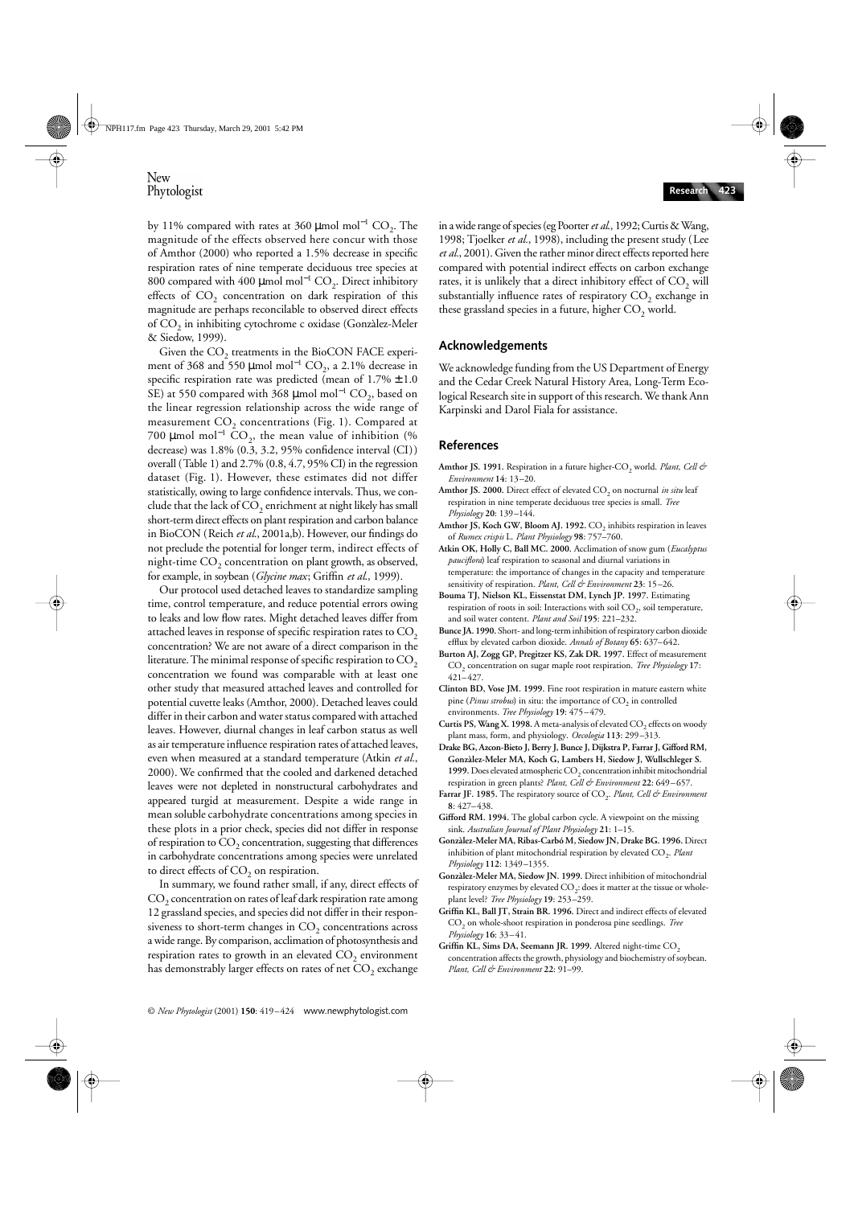by 11% compared with rates at 360 µmol mol<sup>-1</sup> CO<sub>2</sub>. The magnitude of the effects observed here concur with those of Amthor (2000) who reported a 1.5% decrease in specific respiration rates of nine temperate deciduous tree species at 800 compared with 400 μmol mol<sup>-1</sup> CO<sub>2</sub>. Direct inhibitory effects of  $CO<sub>2</sub>$  concentration on dark respiration of this magnitude are perhaps reconcilable to observed direct effects of  $CO<sub>2</sub>$  in inhibiting cytochrome c oxidase (Gonzàlez-Meler & Siedow, 1999).

Given the CO<sub>2</sub> treatments in the BioCON FACE experiment of 368 and 550 µmol mol<sup>-1</sup> CO<sub>2</sub>, a 2.1% decrease in specific respiration rate was predicted (mean of  $1.7\% \pm 1.0$ SE) at 550 compared with 368 µmol mol<sup>-1</sup> CO<sub>2</sub>, based on the linear regression relationship across the wide range of measurement  $CO<sub>2</sub>$  concentrations (Fig. 1). Compared at 700 µmol mol<sup>-1</sup> CO<sub>2</sub>, the mean value of inhibition (% decrease) was 1.8% (0.3, 3.2, 95% confidence interval (CI)) overall (Table 1) and 2.7% (0.8, 4.7, 95% CI) in the regression dataset (Fig. 1). However, these estimates did not differ statistically, owing to large confidence intervals. Thus, we conclude that the lack of  $CO<sub>2</sub>$  enrichment at night likely has small short-term direct effects on plant respiration and carbon balance in BioCON (Reich *et al*., 2001a,b). However, our findings do not preclude the potential for longer term, indirect effects of night-time  $CO<sub>2</sub>$  concentration on plant growth, as observed, for example, in soybean (*Glycine max*; Griffin *et al*., 1999).

Our protocol used detached leaves to standardize sampling time, control temperature, and reduce potential errors owing to leaks and low flow rates. Might detached leaves differ from attached leaves in response of specific respiration rates to  $CO<sub>2</sub>$ concentration? We are not aware of a direct comparison in the literature. The minimal response of specific respiration to  $CO<sub>2</sub>$ concentration we found was comparable with at least one other study that measured attached leaves and controlled for potential cuvette leaks (Amthor, 2000). Detached leaves could differ in their carbon and water status compared with attached leaves. However, diurnal changes in leaf carbon status as well as air temperature influence respiration rates of attached leaves, even when measured at a standard temperature (Atkin *et al.*, 2000). We confirmed that the cooled and darkened detached leaves were not depleted in nonstructural carbohydrates and appeared turgid at measurement. Despite a wide range in mean soluble carbohydrate concentrations among species in these plots in a prior check, species did not differ in response of respiration to  $CO<sub>2</sub>$  concentration, suggesting that differences in carbohydrate concentrations among species were unrelated to direct effects of  $CO<sub>2</sub>$  on respiration.

In summary, we found rather small, if any, direct effects of  $CO<sub>2</sub>$  concentration on rates of leaf dark respiration rate among 12 grassland species, and species did not differ in their responsiveness to short-term changes in  $CO<sub>2</sub>$  concentrations across a wide range. By comparison, acclimation of photosynthesis and respiration rates to growth in an elevated  $CO<sub>2</sub>$  environment has demonstrably larger effects on rates of net  $CO<sub>2</sub>$  exchange

in a wide range of species (eg Poorter *et al*., 1992; Curtis & Wang, 1998; Tjoelker *et al.*, 1998), including the present study (Lee *et al.*, 2001). Given the rather minor direct effects reported here compared with potential indirect effects on carbon exchange rates, it is unlikely that a direct inhibitory effect of  $CO<sub>2</sub>$  will substantially influence rates of respiratory  $CO<sub>2</sub>$  exchange in these grassland species in a future, higher  $CO<sub>2</sub>$  world.

## **Acknowledgements**

We acknowledge funding from the US Department of Energy and the Cedar Creek Natural History Area, Long-Term Ecological Research site in support of this research. We thank Ann Karpinski and Darol Fiala for assistance.

## **References**

- Amthor JS. 1991. Respiration in a future higher-CO<sub>2</sub> world. *Plant, Cell & Environment* **14**: 13–20.
- **Amthor JS. 2000.** Direct effect of elevated CO<sub>2</sub> on nocturnal *in situ* leaf respiration in nine temperate deciduous tree species is small. *Tree Physiology* **20**: 139–144.
- Amthor JS, Koch GW, Bloom AJ. 1992. CO<sub>2</sub> inhibits respiration in leaves of *Rumex crispis* L. *Plant Physiology* **98**: 757–760.
- **Atkin OK, Holly C, Ball MC. 2000.** Acclimation of snow gum (*Eucalyptus pauciflora*) leaf respiration to seasonal and diurnal variations in temperature: the importance of changes in the capacity and temperature sensitivity of respiration. *Plant, Cell & Environment* **23**: 15–26.
- **Bouma TJ, Nielson KL, Eissenstat DM, Lynch JP. 1997.** Estimating respiration of roots in soil: Interactions with soil  $CO<sub>2</sub>$ , soil temperature, and soil water content. *Plant and Soil* **195**: 221–232.
- **Bunce JA. 1990.** Short- and long-term inhibition of respiratory carbon dioxide efflux by elevated carbon dioxide. *Annals of Botany* **65**: 637–642.
- **Burton AJ, Zogg GP, Pregitzer KS, Zak DR. 1997.** Effect of measurement CO2 concentration on sugar maple root respiration. *Tree Physiology* **17**: 421–427.
- **Clinton BD, Vose JM. 1999.** Fine root respiration in mature eastern white pine (*Pinus strobus*) in situ: the importance of CO<sub>2</sub> in controlled environments*. Tree Physiology* **19**: 475–479.
- Curtis PS, Wang X. 1998. A meta-analysis of elevated CO<sub>2</sub> effects on woody plant mass, form, and physiology. *Oecologia* **113**: 299–313.
- **Drake BG, Azcon-Bieto J, Berry J, Bunce J, Dijkstra P, Farrar J, Gifford RM, Gonzàlez-Meler MA, Koch G, Lambers H, Siedow J, Wullschleger S.**  1999. Does elevated atmospheric CO<sub>2</sub> concentration inhibit mitochondrial respiration in green plants? *Plant, Cell & Environment* **22**: 649–657.
- Farrar JF. 1985. The respiratory source of CO<sub>2</sub>. *Plant, Cell & Environment* **8**: 427–438.
- **Gifford RM. 1994.** The global carbon cycle. A viewpoint on the missing sink. *Australian Journal of Plant Physiology* **21**: 1–15.
- **Gonzàlez-Meler MA, Ribas-Carbó M, Siedow JN, Drake BG. 1996.** Direct inhibition of plant mitochondrial respiration by elevated CO<sub>2</sub>. *Plant Physiology* **112**: 1349–1355.
- **Gonzàlez-Meler MA, Siedow JN. 1999.** Direct inhibition of mitochondrial respiratory enzymes by elevated  $CO<sub>2</sub>$ : does it matter at the tissue or wholeplant level? *Tree Physiology* **19**: 253–259.
- **Griffin KL, Ball JT, Strain BR. 1996.** Direct and indirect effects of elevated CO<sub>2</sub> on whole-shoot respiration in ponderosa pine seedlings. Tree *Physiology* **16**: 33–41.
- Griffin KL, Sims DA, Seemann JR. 1999. Altered night-time CO<sub>2</sub> concentration affects the growth, physiology and biochemistry of soybean. *Plant, Cell & Environment* **22**: 91–99.